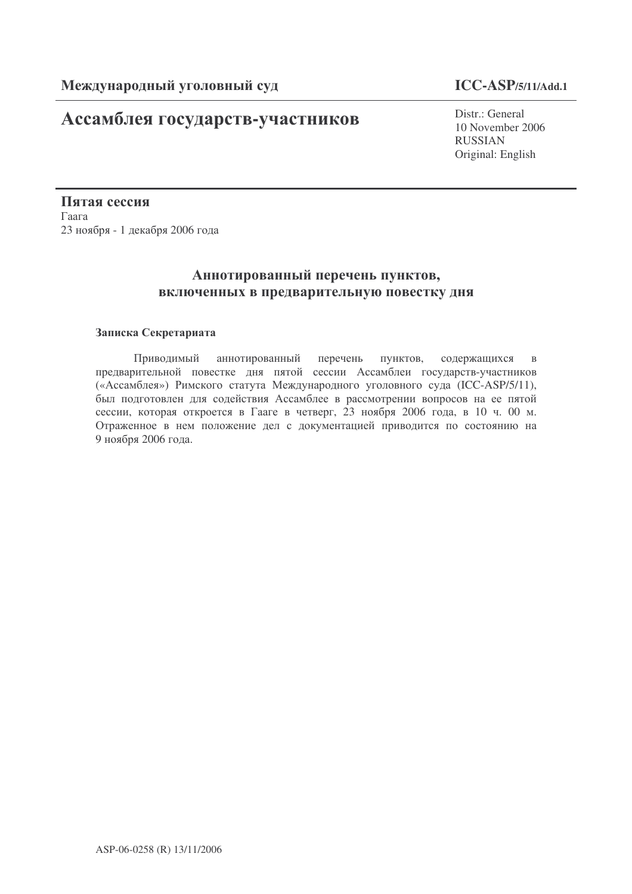# Ассамблея государств-участников

## **ICC-ASP/5/11/Add.1**

Distr · General 10 November 2006 RUSSIAN Original: English

Пятая сессия  $\Gamma$ aara 23 ноября - 1 декабря 2006 года

# Аннотированный перечень пунктов, включенных в предварительную повестку дня

### Записка Секретариата

Приводимый ннотированный пе рече пунктов, ржащихся в предварительной повестке дня пятой сессии Ассамблеи государств-участников («Ассамблея») Римского статута Международного уголовного суда (ICC-ASP/5/11), был подготовлен для содействия Ассамблее в рассмотрении вопросов на ее пятой сессии, которая откроется в Гааге в четверг, 23 ноября 2006 года, в 10 ч. 00 м. Отраженное в нем положение дел с документацией приводится по состоянию на 9 ноября 2006 года.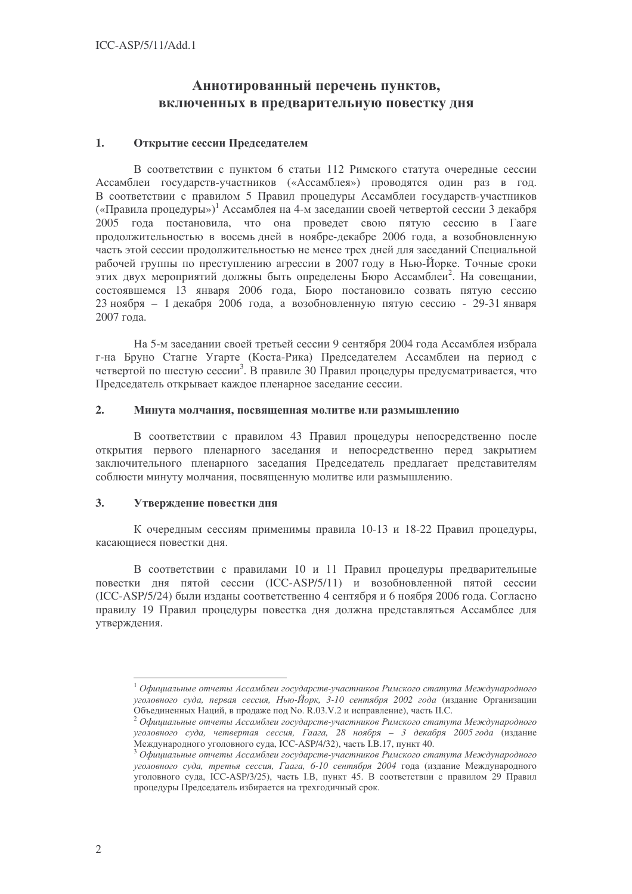# Аннотированный перечень пунктов, включенных в предварительную повестку дня

#### $1.$ Открытие сессии Председателем

В соответствии с пунктом 6 статьи 112 Римского статута очередные сессии Ассамблеи государств-участников («Ассамблея») проводятся один раз в год. В соответствии с правилом 5 Правил процедуры Ассамблеи государств-участников («Правила процедуры»)<sup>1</sup> Ассамблея на 4-м заседании своей четвертой сессии 3 декабря 2005 года постановила, что она проведет свою пятую сессию в Гааге продолжительностью в восемь дней в ноябре-декабре 2006 года, а возобновленную часть этой сессии продолжительностью не менее трех дней для заседаний Специальной рабочей группы по преступлению агрессии в 2007 году в Нью-Йорке. Точные сроки этих лвух мероприятий должны быть определены Бюро Ассамблеи<sup>2</sup>. На совешании, состоявшемся 13 января 2006 года, Бюро постановило созвать пятую сессию 23 ноября - 1 декабря 2006 года, а возобновленную пятую сессию - 29-31 января 2007 гола.

На 5-м заседании своей третьей сессии 9 сентября 2004 года Ассамблея избрала г-на Бруно Стагне Угарте (Коста-Рика) Предселателем Ассамблеи на период с четвертой по шестую сессии<sup>3</sup>. В правиле 30 Правил процедуры предусматривается, что Председатель открывает каждое пленарное заседание сессии.

#### $2.$ Минута молчания, посвященная молитве или размышлению

В соответствии с правилом 43 Правил процедуры непосредственно после открытия первого пленарного заседания и непосредственно перед закрытием заключительного пленарного заседания Председатель предлагает представителям соблюсти минуту молчания, посвященную молитве или размышлению.

#### $3.$ Утверждение повестки дня

К очередным сессиям применимы правила 10-13 и 18-22 Правил процедуры, касающиеся повестки лня.

В соответствии с правилами 10 и 11 Правил процедуры предварительные повестки дня пятой сессии (ICC-ASP/5/11) и возобновленной пятой сессии (ICC-ASP/5/24) были изданы соответственно 4 сентября и 6 ноября 2006 года. Согласно правилу 19 Правил процедуры повестка дня должна представляться Ассамблее для утверждения.

 $^{-1}$ Официальные отчеты Ассамблеи государств-участников Римского статута Международного уголовного суда, первая сессия, Нью-Йорк, 3-10 сентября 2002 года (издание Организации

Объединенных Наций, в продаже под No. R.03.V.2 и исправление), часть П.С.<br><sup>2</sup> Официальные отчеты Ассамблеи государств-участников Римского статута Международного уголовного суда, четвертая сессия, Гаага, 28 ноября - 3 декабря 2005 года (издание Международного уголовного суда, ICC-ASP/4/32), часть I.B.17, пункт 40.

 $3$  Официальные отчеты Ассамблеи государств-участников Римского статута Международного уголовного суда, третья сессия, Гаага, 6-10 сентября 2004 года (издание Международного уголовного суда, ICC-ASP/3/25), часть I.B, пункт 45. В соответствии с правилом 29 Правил процедуры Председатель избирается на трехгодичный срок.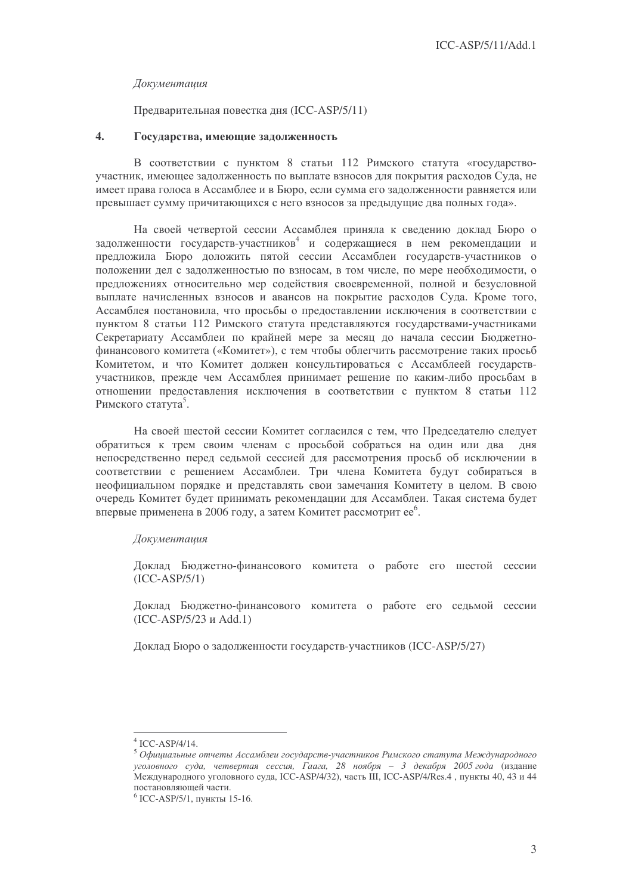### Документация

### Предварительная повестка дня (ICC-ASP/5/11)

#### $\overline{4}$ . Государства, имеющие задолженность

В соответствии с пунктом 8 статьи 112 Римского статута «государствоучастник, имеющее задолженность по выплате взносов для покрытия расходов Суда, не имеет права голоса в Ассамблее и в Бюро, если сумма его задолженности равняется или превышает сумму причитающихся с него взносов за предыдущие два полных года».

На своей четвертой сессии Ассамблея приняла к сведению доклад Бюро о задолженности государств-участников<sup>4</sup> и содержащиеся в нем рекомендации и предложила Бюро доложить пятой сессии Ассамблеи государств-участников о положении дел с задолженностью по взносам, в том числе, по мере необходимости, о предложениях относительно мер содействия своевременной, полной и безусловной выплате начисленных взносов и авансов на покрытие расходов Суда. Кроме того, Ассамблея постановила, что просьбы о предоставлении исключения в соответствии с пунктом 8 статьи 112 Римского статута представляются государствами-участниками Секретариату Ассамблеи по крайней мере за месяц до начала сессии Бюлжетнофинансового комитета («Комитет»), с тем чтобы облегчить рассмотрение таких просьб Комитетом, и что Комитет должен консультироваться с Ассамблеей государствучастников, прежде чем Ассамблея принимает решение по каким-либо просьбам в отношении предоставления исключения в соответствии с пунктом 8 статьи 112 Римского статута<sup>5</sup>.

На своей шестой сессии Комитет согласился с тем, что Председателю следует обратиться к трем своим членам с просьбой собраться на один или два дня непосредственно перед седьмой сессией для рассмотрения просьб об исключении в соответствии с решением Ассамблеи. Три члена Комитета будут собираться в неофициальном порядке и представлять свои замечания Комитету в целом. В свою очередь Комитет будет принимать рекомендации для Ассамблеи. Такая система будет впервые применена в 2006 году, а затем Комитет рассмотрит ее<sup>6</sup>.

### Документация

Доклад Бюджетно-финансового комитета о работе его шестой сессии  $(ICC-ASP/5/1)$ 

Доклад Бюджетно-финансового комитета о работе его седьмой сессии (ICC-ASP/5/23 и Add.1)

Локлал Бюро о залолженности государств-участников (ICC-ASP/5/27)

 $4$  ICC-ASP/4/14.

 $5$  Официальные отчеты Ассамблеи государств-участников Римского статута Международного уголовного суда, четвертая сессия, Гаага, 28 ноября - 3 декабря 2005 года (издание Международного уголовного суда, ICC-ASP/4/32), часть III, ICC-ASP/4/Res.4, пункты 40, 43 и 44 постановляющей части.

 $6$  ICC-ASP/5/1, пункты 15-16.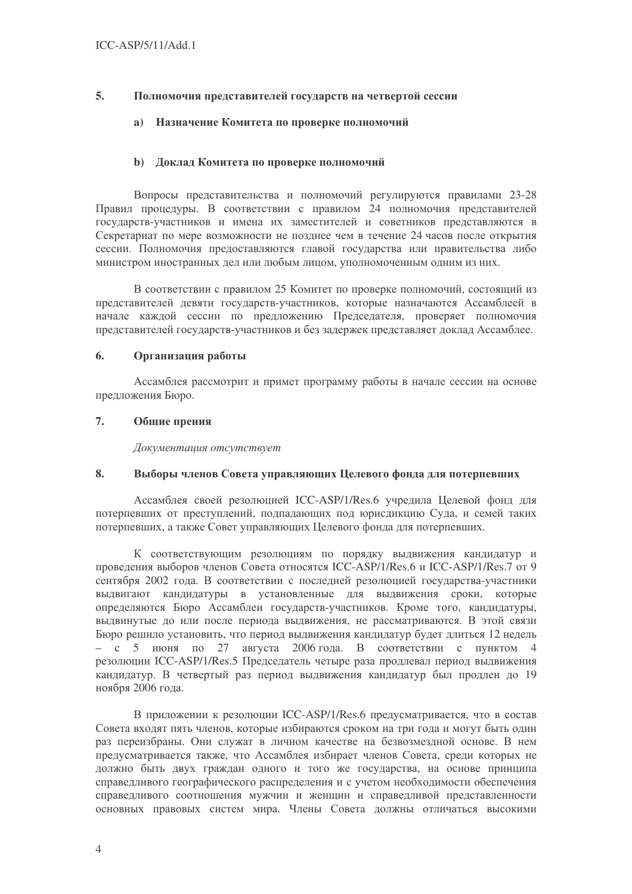#### 5. Полномочия представителей государств на четвертой сессии

#### Назначение Комитета по проверке полномочий  $a)$

### **b)** Доклад Комитета по проверке полномочий

Вопросы представительства и полномочий регулируются правилами 23-28 Правил процедуры. В соответствии с правилом 24 полномочия представителей государств-участников и имена их заместителей и советников представляются в Секретариат по мере возможности не позднее чем в течение 24 часов после открытия сессии. Полномочия предоставляются главой государства или правительства либо министром иностранных дел или любым лицом, уполномоченным одним из них.

В соответствии с правилом 25 Комитет по проверке полномочий, состоящий из представителей девяти государств-участников, которые назначаются Ассамблеей в начале каждой сессии по предложению Председателя, проверяет полномочия представителей государств-участников и без задержек представляет доклад Ассамблее.

#### 6. Организация работы

Ассамблея рассмотрит и примет программу работы в начале сессии на основе предложения Бюро.

#### 7. Общие прения

Документация отсутствует

#### 8. Выборы членов Совета управляющих Целевого фонда для потерпевших

Ассамблея своей резолюцией ICC-ASP/1/Res.6 учредила Целевой фонд для потерпевших от преступлений, подпадающих под юрисдикцию Суда, и семей таких потерпевших, а также Совет управляющих Целевого фонда для потерпевших.

К соответствующим резолюциям по порядку выдвижения кандидатур и проведения выборов членов Совета относятся ICC-ASP/1/Res.6 и ICC-ASP/1/Res.7 от 9 сентября 2002 года. В соответствии с последней резолюцией государства-участники выдвигают кандидатуры в установленные для выдвижения сроки, которые определяются Бюро Ассамблеи государств-участников. Кроме того, кандидатуры, выдвинутые до или после периода выдвижения, не рассматриваются. В этой связи Бюро решило установить, что период выдвижения кандидатур будет длиться 12 недель  $-$  с 5 июня по 27 августа 2006 года. В соответствии с пунктом 4 резолюции ICC-ASP/1/Res.5 Председатель четыре раза продлевал период выдвижения кандидатур. В четвертый раз период выдвижения кандидатур был продлен до 19 ноября 2006 года.

В приложении к резолюции ICC-ASP/1/Res.6 предусматривается, что в состав Совета входят пять членов, которые избираются сроком на три года и могут быть один раз переизбраны. Они служат в личном качестве на безвозмезлной основе. В нем предусматривается также, что Ассамблея избирает членов Совета, среди которых не должно быть двух граждан одного и того же государства, на основе принципа справедливого географического распределения и с учетом необходимости обеспечения справедливого соотношения мужчин и женщин и справедливой представленности основных правовых систем мира. Члены Совета должны отличаться высокими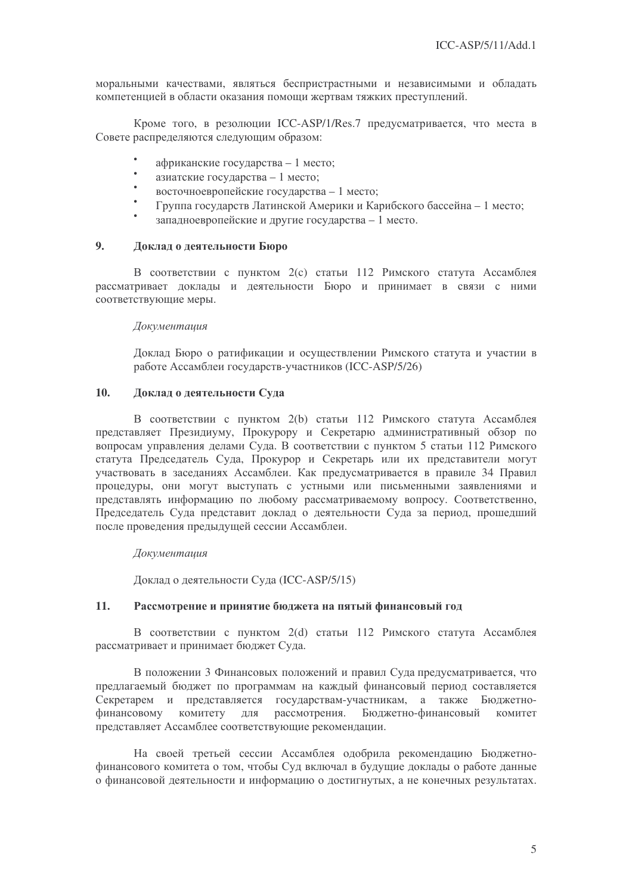моральными качествами, являться беспристрастными и независимыми и обладать компетенцией в области оказания помощи жертвам тяжких преступлений.

Кроме того, в резолюции ICC-ASP/1/Res.7 предусматривается, что места в Совете распределяются следующим образом:

- африканские государства 1 место;
- азиатские государства 1 место;
- $\bullet$ восточноевропейские государства - 1 место;
- Группа государств Латинской Америки и Карибского бассейна 1 место;
- запалноевропейские и другие государства 1 место.

#### $9<sub>1</sub>$ Доклад о деятельности Бюро

В соответствии с пунктом 2(с) статьи 112 Римского статута Ассамблея рассматривает доклады и деятельности Бюро и принимает в связи с ними соответствующие меры.

### Документация

Доклад Бюро о ратификации и осуществлении Римского статута и участии в работе Ассамблеи государств-участников (ICC-ASP/5/26)

#### $10.$ Доклад о деятельности Суда

В соответствии с пунктом 2(b) статьи 112 Римского статута Ассамблея представляет Президиуму, Прокурору и Секретарю административный обзор по вопросам управления делами Суда. В соответствии с пунктом 5 статьи 112 Римского статута Председатель Суда, Прокурор и Секретарь или их представители могут участвовать в заседаниях Ассамблеи. Как предусматривается в правиле 34 Правил процедуры, они могут выступать с устными или письменными заявлениями и представлять информацию по любому рассматриваемому вопросу. Соответственно, Председатель Суда представит доклад о деятельности Суда за период, прошедший после проведения предыдущей сессии Ассамблеи.

### Документация

Доклад о деятельности Суда (ICC-ASP/5/15)

#### $11<sub>1</sub>$ Рассмотрение и принятие бюджета на пятый финансовый год

В соответствии с пунктом 2(d) статьи 112 Римского статута Ассамблея рассматривает и принимает бюджет Суда.

В положении 3 Финансовых положений и правил Суда предусматривается, что предлагаемый бюджет по программам на каждый финансовый период составляется Секретарем и представляется государствам-участникам, а также Бюджетнофинансовому комитету для рассмотрения. Бюджетно-финансовый комитет представляет Ассамблее соответствующие рекомендации.

На своей третьей сессии Ассамблея одобрила рекомендацию Бюджетнофинансового комитета о том, чтобы Суд включал в будущие доклады о работе данные о финансовой деятельности и информацию о достигнутых, а не конечных результатах.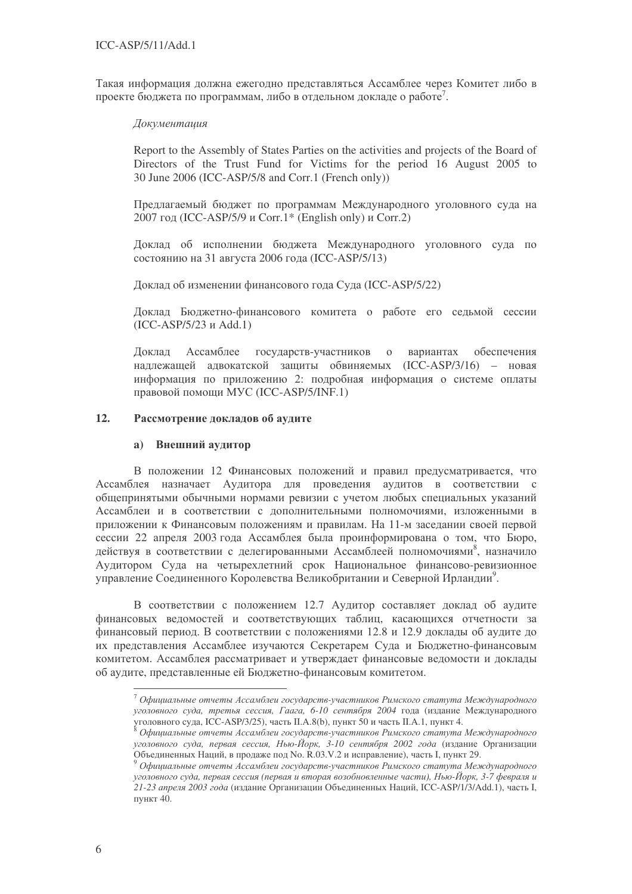Такая информация должна ежегодно представляться Ассамблее через Комитет либо в проекте бюджета по программам, либо в отдельном докладе о работе<sup>7</sup>.

### Документация

Report to the Assembly of States Parties on the activities and projects of the Board of Directors of the Trust Fund for Victims for the period 16 August 2005 to 30 June 2006 (ICC-ASP/5/8 and Corr.1 (French only))

Предлагаемый бюджет по программам Международного уголовного суда на 2007 год (ICC-ASP/5/9 и Corr.1\* (English only) и Corr.2)

Доклад об исполнении бюджета Международного уголовного суда по состоянию на 31 августа 2006 года (ICC-ASP/5/13)

Доклад об изменении финансового года Суда (ICC-ASP/5/22)

Доклад Бюджетно-финансового комитета о работе его седьмой сессии (ICC-ASP/5/23 Add.1)

Доклад Ассамблее государств-участников о ва рианта х обеспечения надлежащей адвокатской защиты обвиняемых (ICC-ASP/3/16) - новая информация по приложению 2: подробная информация о системе оплаты правовой помощи MУC (ICC-ASP/5/INF.1)

### 12. Рассмотрение докладов об аудите

## **a)** Внешний аудитор

В положении 12 Финансовых положений и правил предусматривается, что Ассамблея назначает Аудитора для проведения аудитов в соответствии с общепринятыми обычными нормами ревизии с учетом любых специальных указаний Ассамблеи и в соответствии с дополнительными полномочиями, изложенными в приложении к Финансовым положениям и правилам. На 11-м заседании своей первой сессии 22 апреля 2003 года Ассамблея была проинформирована о том, что Бюро, действуя в соответствии с делегированными Ассамблеей полномочиями<sup>8</sup>, назначило Аудитором Суда на четырехлетний срок Национальное финансово-ревизионное управление Соединенного Королевства Великобритании и Северной Ирландии<sup>9</sup>.

В соответствии с положением 12.7 Аудитор составляет доклад об аудите финансовых ведомостей и соответствующих таблиц, касающихся отчетности за финансовый период. В соответствии с положениями 12.8 и 12.9 доклады об аудите до их представления Ассамблее изучаются Секретарем Суда и Бюджетно-финансовым комитетом. Ассамблея рассматривает и утверждает финансовые ведомости и доклады об аудите, представленные ей Бюджетно-финансовым комитетом.

 $^7$  Официальные отчеты Ассамблеи государств-участников Римского статута Международного уголовного суда, третья сессия, Гаага, 6-10 сентября 2004 года (издание Международного уголовного суда, ICC-ASP/3/25), часть II.A.8(b), пункт 50 и часть II.A.1, пункт 4.

 $^{\text{8}}$  Официальные отчеты Ассамблеи государств-участников Римского статута Международного уголовного суда, первая сессия, Нью-Йорк, 3-10 сентября 2002 года (издание Организации Объединенных Наций, в продаже под No. R.03.V.2 и исправление), часть I, пункт 29.

<sup>&</sup>lt;sup>9</sup> Официальные отчеты Ассамблеи государств-участников Римского статута Международного уголовного суда, первая сессия (первая и вторая возобновленные части), Нью-Йорк, 3-7 февраля и 21-23 апреля 2003 года (издание Организации Объединенных Наций, ICC-ASP/1/3/Add.1), часть I, пункт 40.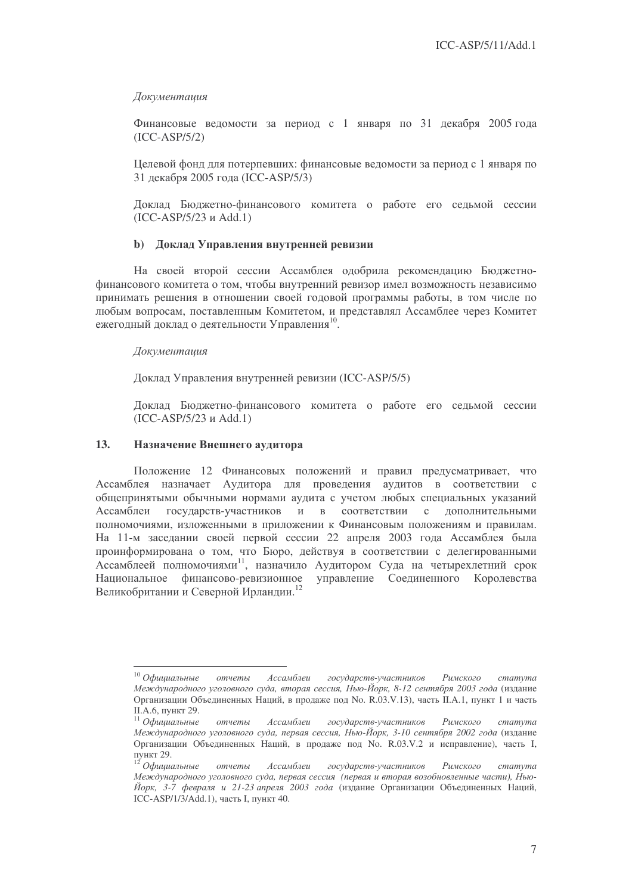### Документация

Финансовые ведомости за период с 1 января по 31 декабря 2005 года (ICC-ASP/5/2)

Целевой фонд для потерпевших: финансовые ведомости за период с 1 января по 31 декабря 2005 года (ICC-ASP/5/3)

Доклад Бюджетно-финансового комитета о работе его седьмой сессии (ICC-ASP/5/23 Add.1)

### **b)** Доклад Управления внутренней ревизии

На своей второй сессии Ассамблея одобрила рекомендацию Бюджетнофинансового комитета о том, чтобы внутренний ревизор имел возможность независимо принимать решения в отношении своей годовой программы работы, в том числе по любым вопросам, поставленным Комитетом, и представлял Ассамблее через Комитет ежегодный доклад о деятельности Управления<sup>10</sup>.

### Документация

Доклад Управления внутренней ревизии (ICC-ASP/5/5)

Доклад Бюджетно-финансового комитета о работе его седьмой сессии (ICC-ASP/5/23 Add.1)

### 13. Назначение Внешнего аудитора

Положение 12 Финансовых положений и правил предусматривает, что Ассамблея назначает Аудитора для проведения аудитов в соответствии с общепринятыми обычными нормами аудита с учетом любых специальных указаний Ассамблеи государств-участников и в соотве в соответствии с дополнительными полномочиями, изложенными в приложении к Финансовым положениям и правилам. На 11-м заседании своей первой сессии 22 апреля 2003 года Ассамблея была проинформирована о том, что Бюро, действуя в соответствии с делегированными Ассамблеей полномочиями<sup>11</sup>, назначило Аудитором Суда на четырехлетний срок Национальное финансово-ревизионное управление Соединенного Королевства Великобритании и Северной Ирландии.<sup>12</sup>

 $^{10}$  Официальные  $<sub>OMU</sub>$  $<sub>OMU</sub>$ </sub></sub> Ассамблеи государств-участников Римского статута Международного уголовного суда, вторая сессия, Нью-Йорк, 8-12 сентября 2003 года (издание Организации Объединенных Наций, в продаже под No. R.03.V.13), часть II.A.1, пункт 1 и часть II.A.6, пункт 29.

 $^{11}$  Официальные отчеты Ассамблеи государств-участников Римского статута Международного уголовного суда, первая сессия, Нью-Йорк, 3-10 сентября 2002 года (издание Организации Объединенных Наций, в продаже под No. R.03.V.2 и исправление), часть I, **ПУНКТ 29.** 

 $^{12}$  Официальные отчеты Ассамблеи государств-участников Римского статута Международного уголовного суда, первая сессия (первая и вторая возобновленные части), Нью-Йорк, 3-7 февраля и 21-23 апреля 2003 года (издание Организации Объединенных Наций, ICC-ASP/1/3/Add.1), часть I, пункт 40.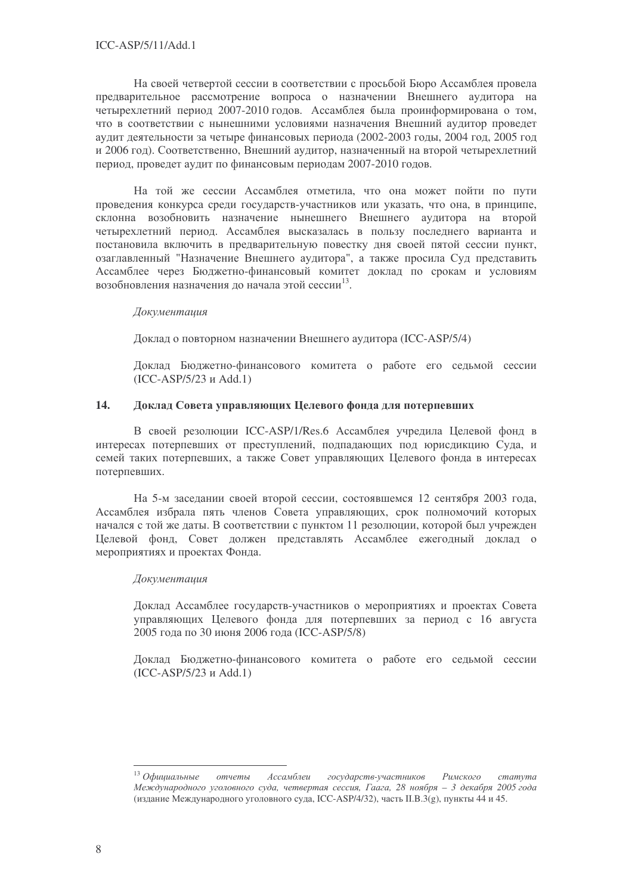На своей четвертой сессии в соответствии с просьбой Бюро Ассамблея провела предварительное рассмотрение вопроса о назначении Внешнего аудитора на четырехлетний период 2007-2010 годов. Ассамблея была проинформирована о том, что в соответствии с нынешними условиями назначения Внешний аудитор проведет аудит деятельности за четыре финансовых периода (2002-2003 годы, 2004 год, 2005 год и 2006 год). Соответственно, Внешний аудитор, назначенный на второй четырехлетний период, проведет аудит по финансовым периодам 2007-2010 годов.

На той же сессии Ассамблея отметила, что она может пойти по пути проведения конкурса среди государств-участников или указать, что она, в принципе, склонна возобновить назначение нынешнего Внешнего аудитора на второй четырехлетний период. Ассамблея высказалась в пользу последнего варианта и постановила включить в предварительную повестку дня своей пятой сессии пункт, озаглавленный "Назначение Внешнего аудитора", а также просила Суд представить Ассамблее через Бюджетно-финансовый комитет доклад по срокам и условиям возобновления назначения до начала этой сессии<sup>13</sup>.

### **Локументаиия**

Доклад о повторном назначении Внешнего аудитора (ICC-ASP/5/4)

Доклад Бюджетно-финансового комитета о работе его седьмой сессии  $(ICC-ASP/5/23 \text{ u} Add.1)$ 

#### 14. Доклад Совета управляющих Целевого фонда для потерпевших

В своей резолюции ICC-ASP/1/Res.6 Ассамблея учредила Целевой фонд в интересах потерпевших от преступлений, подпадающих под юрисдикцию Суда, и семей таких потерпевших, а также Совет управляющих Целевого фонда в интересах потерпевших.

На 5-м заседании своей второй сессии, состоявшемся 12 сентября 2003 года, Ассамблея избрала пять членов Совета управляющих, срок полномочий которых начался с той же даты. В соответствии с пунктом 11 резолюции, которой был учрежден Целевой фонд, Совет должен представлять Ассамблее ежегодный доклад о мероприятиях и проектах Фонда.

### Документашия

Доклад Ассамблее государств-участников о мероприятиях и проектах Совета управляющих Целевого фонда для потерпевших за период с 16 августа 2005 года по 30 июня 2006 года (ICC-ASP/5/8)

Доклад Бюджетно-финансового комитета о работе его седьмой сессии  $(ICC-ASP/5/23 \text{ и Add.1})$ 

 $13$  Официальные Римского Ассамблеи государств-участников отчеты  $c$ mamyma Международного уголовного суда, четвертая сессия, Гаага, 28 ноября – 3 декабря 2005 года (издание Международного уголовного суда, ICC-ASP/4/32), часть II.В.3(g), пункты 44 и 45.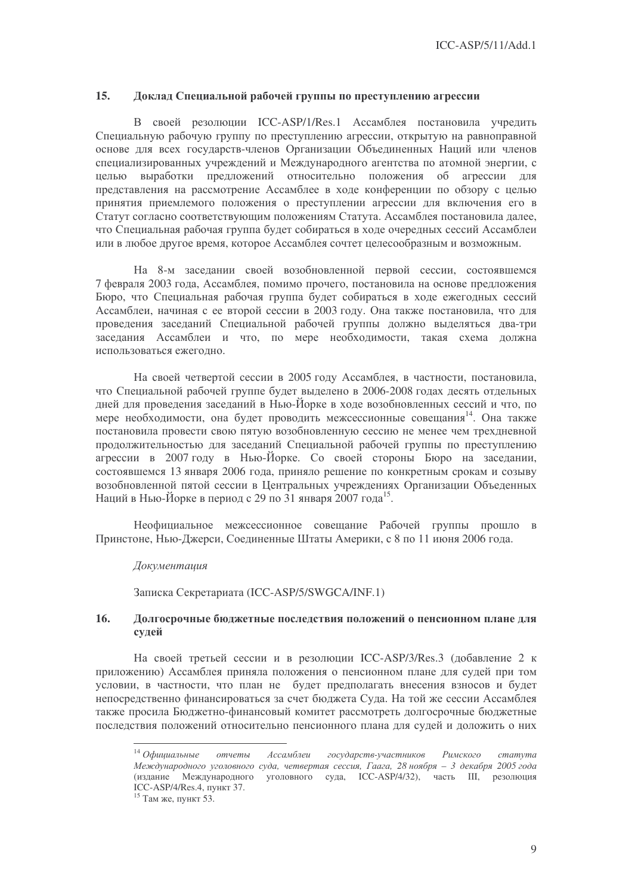#### 15. Доклад Специальной рабочей группы по преступлению агрессии

В своей резолюции ICC-ASP/1/Res.1 Ассамблея постановила учрелить Специальную рабочую группу по преступлению агрессии, открытую на равноправной основе для всех государств-членов Организации Объединенных Наций или членов специализированных учреждений и Международного агентства по атомной энергии, с целью выработки предложений относительно положения об агрессии для представления на рассмотрение Ассамблее в ходе конференции по обзору с целью принятия приемлемого положения о преступлении агрессии для включения его в Статут согласно соответствующим положениям Статута. Ассамблея постановила далее, что Специальная рабочая группа будет собираться в ходе очередных сессий Ассамблеи или в любое другое время, которое Ассамблея сочтет целесообразным и возможным.

На 8-м заседании своей возобновленной первой сессии, состоявшемся 7 февраля 2003 года, Ассамблея, помимо прочего, постановила на основе предложения Бюро, что Специальная рабочая группа будет собираться в ходе ежегодных сессий Ассамблеи, начиная с ее второй сессии в 2003 году. Она также постановила, что для проведения заседаний Специальной рабочей группы должно выделяться два-три заселания Ассамблеи и что, по мере необходимости, такая схема должна использоваться ежегодно.

На своей четвертой сессии в 2005 году Ассамблея, в частности, постановила, что Специальной рабочей группе будет выделено в 2006-2008 годах десять отдельных дней для проведения заседаний в Нью-Йорке в ходе возобновленных сессий и что, по мере необходимости, она будет проводить межсессионные совещания<sup>14</sup>. Она также постановила провести свою пятую возобновленную сессию не менее чем трехдневной продолжительностью для заседаний Специальной рабочей группы по преступлению агрессии в 2007 году в Нью-Йорке. Со своей стороны Бюро на заседании, состоявшемся 13 января 2006 года, приняло решение по конкретным срокам и созыву возобновленной пятой сессии в Центральных учреждениях Организации Объеденных Наций в Нью-Йорке в период с 29 по 31 января 2007 года<sup>15</sup>.

Неофициальное межсессионное совещание Рабочей группы прошло в Принстоне, Нью-Джерси, Соединенные Штаты Америки, с 8 по 11 июня 2006 года.

### **Локументаиия**

Записка Секретариата (ICC-ASP/5/SWGCA/INF.1)

#### 16. Долгосрочные бюджетные последствия положений о пенсионном плане для судей

На своей третьей сессии и в резолюции ICC-ASP/3/Res.3 (добавление 2 к приложению) Ассамблея приняла положения о пенсионном плане для судей при том условии, в частности, что план не будет предполагать внесения взносов и будет непосредственно финансироваться за счет бюджета Суда. На той же сессии Ассамблея также просила Бюджетно-финансовый комитет рассмотреть долгосрочные бюджетные последствия положений относительно пенсионного плана для судей и доложить о них

 $14$  Офишальные Ассамблеи отчеты государств-участников Римского  $c$ mamvma Международного уголовного суда, четвертая сессия, Гаага, 28 ноября - 3 декабря 2005 года (издание Международного уголовного суда, ICC-ASP/4/32), часть III, резолюция ICC-ASP/4/Res.4. TIVHKT 37.

<sup>&</sup>lt;sup>15</sup> Там же, пункт 53.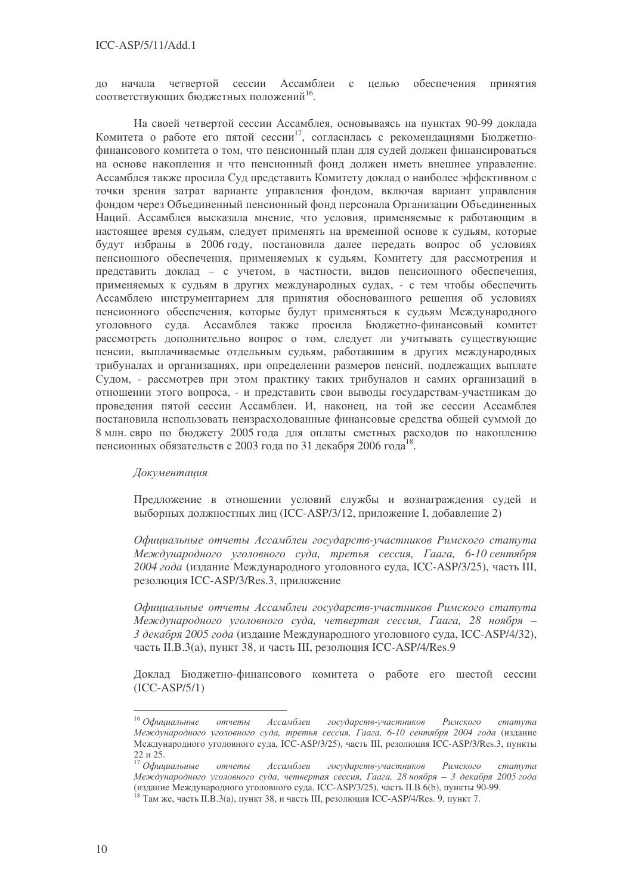начала четвертой сессии Ассамблеи с принятия целью обеспечения  $\pi$ o соответствующих бюджетных положений<sup>16</sup>.

На своей четвертой сессии Ассамблея, основываясь на пунктах 90-99 доклада Комитета о работе его пятой сессии<sup>17</sup>, согласилась с рекомендациями Бюджетнофинансового комитета о том, что пенсионный план для судей должен финансироваться на основе накопления и что пенсионный фонд должен иметь внешнее управление. Ассамблея также просила Суд представить Комитету доклад о наиболее эффективном с точки зрения затрат варианте управления фондом, включая вариант управления фондом через Объединенный пенсионный фонд персонала Организации Объединенных Наций. Ассамблея высказала мнение, что условия, применяемые к работающим в настоящее время судьям, следует применять на временной основе к судьям, которые будут избраны в 2006 году, постановила далее передать вопрос об условиях пенсионного обеспечения, применяемых к судьям, Комитету для рассмотрения и представить доклад - с учетом, в частности, видов пенсионного обеспечения, применяемых к судьям в других международных судах, - с тем чтобы обеспечить Ассамблею инструментарием для принятия обоснованного решения об условиях пенсионного обеспечения, которые будут применяться к судьям Международного уголовного суда. Ассамблея также просила Бюджетно-финансовый комитет рассмотреть дополнительно вопрос о том, следует ли учитывать существующие пенсии, выплачиваемые отдельным судьям, работавшим в других международных трибуналах и организациях, при определении размеров пенсий, подлежащих выплате Судом, - рассмотрев при этом практику таких трибуналов и самих организаций в отношении этого вопроса, - и представить свои выводы государствам-участникам до проведения пятой сессии Ассамблеи. И, наконец, на той же сессии Ассамблея постановила использовать неизрасходованные финансовые средства общей суммой до 8 млн. евро по бюджету 2005 года для оплаты сметных расходов по накоплению пенсионных обязательств с 2003 года по 31 декабря 2006 года<sup>18</sup>.

### Документашия

Предложение в отношении условий службы и вознаграждения судей и выборных должностных лиц (ICC-ASP/3/12, приложение I, добавление 2)

Официальные отчеты Ассамблеи государств-участников Римского статута Международного уголовного суда, третья сессия, Гаага, 6-10 сентября 2004 года (издание Международного уголовного суда, ICC-ASP/3/25), часть III, резолюция ICC-ASP/3/Res.3, приложение

Официальные отчеты Ассамблеи государств-участников Римского статута Международного уголовного суда, четвертая сессия, Гаага, 28 ноября -3 декабря 2005 года (издание Международного уголовного суда, ICC-ASP/4/32), часть II.B.3(а), пункт 38, и часть III, резолюция ICC-ASP/4/Res.9

Доклад Бюджетно-финансового комитета о работе его шестой сессии  $(ICC-ASP/5/1)$ 

 $16$  Официальные Ассамблеи государств-участников Римского отчеты  $c$ mamyma Международного уголовного суда, третья сессия, Гаага, 6-10 сентября 2004 года (издание Международного уголовного суда, ICC-ASP/3/25), часть III, резолюция ICC-ASP/3/Res.3, пункты 22 и 25.

 $\overline{17}$  Официальные Ассамблеи государств-участников Римского отчеты  $c$ mamyma Международного уголовного суда, четвертая сессия, Гаага, 28 ноября - 3 декабря 2005 года (излание Международного уголовного суда, ICC-ASP/3/25), часть II.B.  $o(b)$ , пункты 90-99.

<sup>&</sup>lt;sup>18</sup> Там же, часть II.B.3(а), пункт 38, и часть III, резолюция ICC-ASP/4/Res. 9, пункт 7.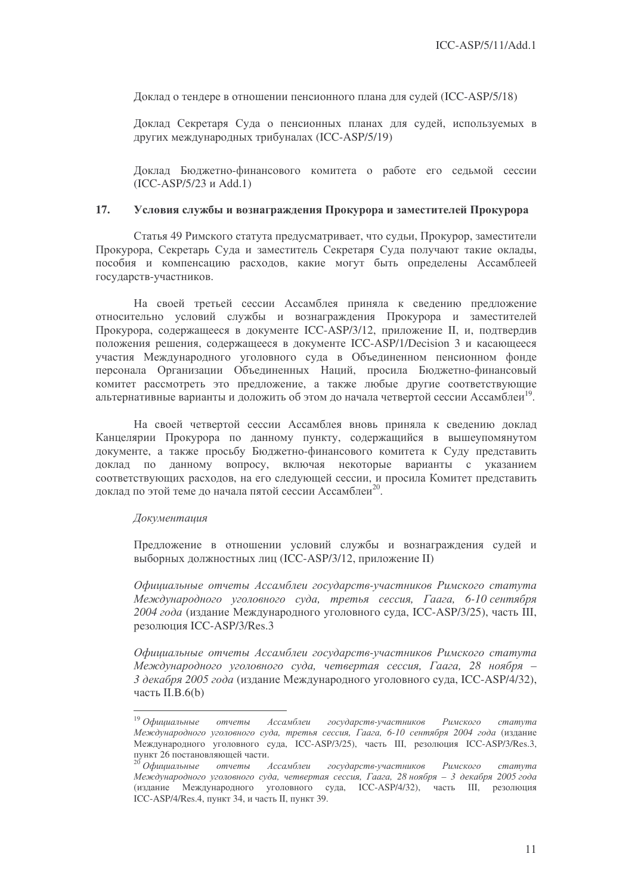Доклад о тендере в отношении пенсионного плана для судей (ICC-ASP/5/18)

Доклад Секретаря Суда о пенсионных планах для судей, используемых в других международных трибуналах (ICC-ASP/5/19)

Доклад Бюджетно-финансового комитета о работе его седьмой сессии (ICC-ASP/5/23 Add.1)

### 17. Условия службы и вознаграждения Прокурора и заместителей Прокурора

Статья 49 Римского статута предусматривает, что судьи, Прокурор, заместители Прокурора, Секретарь Суда и заместитель Секретаря Суда получают такие оклады, пособия и компенсацию расходов, какие могут быть определены Ассамблеей государств-участников.

На своей третьей сессии Ассамблея приняла к сведению предложение относительно условий службы и вознаграждения Прокурора и заместителей Прокурора, содержащееся в документе ICC-ASP/3/12, приложение II, и, подтвердив положения решения, содержащееся в документе ICC-ASP/1/Decision 3 и касающееся участия Международного уголовного суда в Объединенном пенсионном фонде персонала Организации Объединенных Наций, просила Бюджетно-финансовый комитет рассмотреть это предложение, а также любые другие соответствующие альтернативные варианты и доложить об этом до начала четвертой сессии Ассамблеи<sup>19</sup>.

На своей четвертой сессии Ассамблея вновь приняла к сведению доклад Канцелярии Прокурора по данному пункту, содержащийся в вышеупомянутом документе, а также просьбу Бюджетно-финансового комитета к Суду представить доклад по данному вопросу, включая некоторые варианты с указанием соответствующих расходов, на его следующей сессии, и просила Комитет представить доклад по этой теме до начала пятой сессии Ассамблеи<sup>20</sup>.

### Документация

Предложение в отношении условий службы и вознаграждения судей и выборных должностных лиц (ICC-ASP/3/12, приложение II)

Официальные отчеты Ассамблеи государств-участников Римского статута Международного уголовного суда, третья сессия, Гаага, 6-10 сентября 2004 года (издание Международного уголовного суда, ICC-ASP/3/25), часть III, резолюция ICC-ASP/3/Res.3

Официальные отчеты Ассамблеи государств-участников Римского статута Международного уголовного суда, четвертая сессия, Гаага, 28 ноября – 3 декабря 2005 года (издание Международного уголовного суда, ICC-ASP/4/32), часть II.B.6(b)

 $^{19}$  Официальные отчеты Ассамблеи государств-участников Римского статута Международного уголовного суда, третья сессия, Гаага, 6-10 сентября 2004 года (издание Международного уголовного суда, ICC-ASP/3/25), часть III, резолюция ICC-ASP/3/Res.3, пункт 26 постановляющей части.

<sup>&</sup>lt;sup>20</sup> Официальные отчеты Ассамблеи государств-участников Римского статута Международного уголовного суда, четвертая сессия, Гаага, 28 ноября — 3 декабря 2005 года (издание Международного уголовного суда, ICC-ASP/4/32), часть III, резолюция ICC-ASP/4/Res.4, пункт 34, и часть II, пункт 39.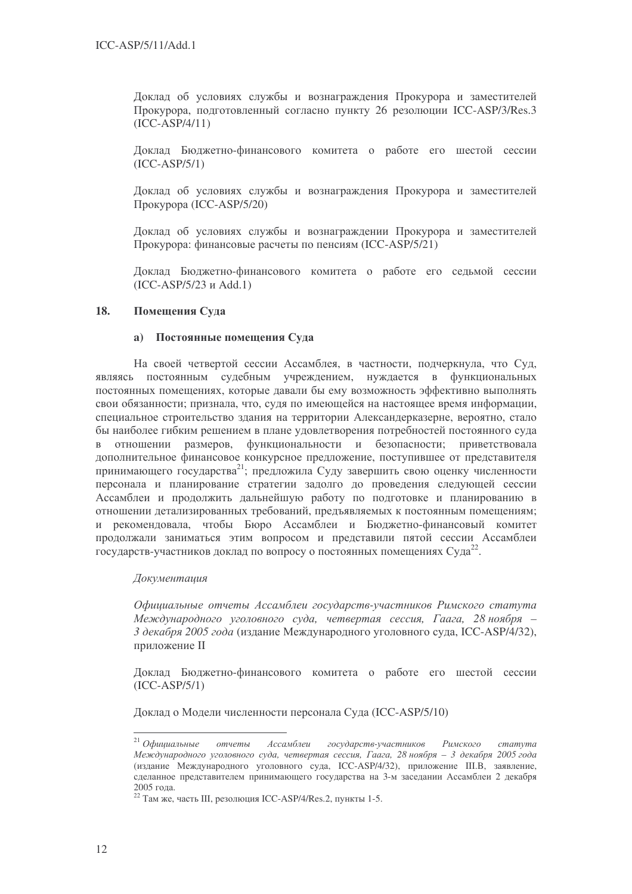Доклад об условиях службы и вознаграждения Прокурора и заместителей Прокурора, подготовленный согласно пункту 26 резолюции ICC-ASP/3/Res.3  $(ICC-ASP/4/11)$ 

Доклад Бюджетно-финансового комитета о работе его шестой сессии  $(ICC-ASP/5/1)$ 

Доклад об условиях службы и вознаграждения Прокурора и заместителей Прокурора (ICC-ASP/5/20)

Доклад об условиях службы и вознаграждении Прокурора и заместителей Прокурора: финансовые расчеты по пенсиям (ICC-ASP/5/21)

Доклад Бюджетно-финансового комитета о работе его седьмой сессии  $(ICC-ASP/5/23 \text{ и Add.1})$ 

#### 18. Помещения Суда

### а) Постоянные помешения Суда

На своей четвертой сессии Ассамблея, в частности, подчеркнула, что Суд, являясь постоянным судебным учреждением, нуждается в функциональных постоянных помещениях, которые давали бы ему возможность эффективно выполнять свои обязанности; признала, что, судя по имеющейся на настоящее время информации, специальное строительство здания на территории Александерказерне, вероятно, стало бы наиболее гибким решением в плане удовлетворения потребностей постоянного суда в отношении размеров, функциональности и безопасности: приветствовала дополнительное финансовое конкурсное предложение, поступившее от представителя принимающего государства<sup>21</sup>; предложила Суду завершить свою оценку численности персонала и планирование стратегии задолго до проведения следующей сессии Ассамблеи и продолжить дальнейшую работу по подготовке и планированию в отношении детализированных требований, предъявляемых к постоянным помещениям; и рекомендовала, чтобы Бюро Ассамблеи и Бюджетно-финансовый комитет продолжали заниматься этим вопросом и представили пятой сессии Ассамблеи государств-участников доклад по вопросу о постоянных помещениях Суда<sup>22</sup>.

### **Локументаиия**

Официальные отчеты Ассамблеи государств-участников Римского статута Международного уголовного суда, четвертая сессия, Гаага, 28 ноября -3 декабря 2005 года (издание Международного уголовного суда, ICC-ASP/4/32), приложение II

Доклад Бюджетно-финансового комитета о работе его шестой сессии  $(ICC-ASP/5/1)$ 

Доклад о Модели численности персонала Суда (ICC-ASP/5/10)

 $21$  Офишальные  $OMU$ Ассамблеи государств-участников  $P$ *UMCKO2O* cmamyma Международного уголовного суда, четвертая сессия, Гаага, 28 ноября - 3 декабря 2005 года (издание Международного уголовного суда, ICC-ASP/4/32), приложение III.В, заявление, сделанное представителем принимающего государства на 3-м заседании Ассамблеи 2 декабря  $2005$  гола.

 $22$  Там же, часть III, резолюция ICC-ASP/4/Res.2, пункты 1-5.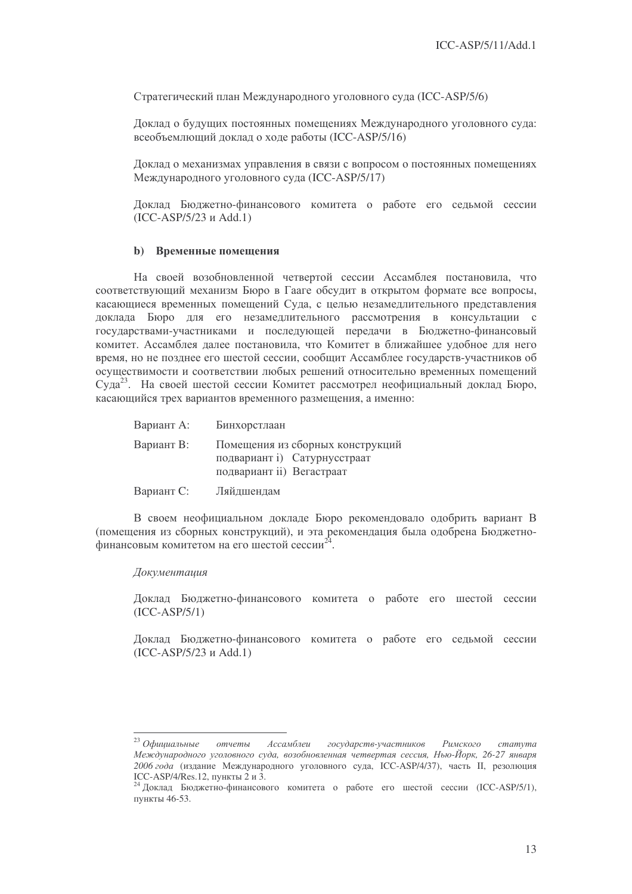Стратегический план Международного уголовного суда (ICC-ASP/5/6)

Доклад о будущих постоянных помещениях Международного уголовного суда: всеобъемлющий доклад о ходе работы (ICC-ASP/5/16)

Доклад о механизмах управления в связи с вопросом о постоянных помещениях Международного уголовного суда (ICC-ASP/5/17)

Доклад Бюджетно-финансового комитета о работе его седьмой сессии  $(ICC-ASP/5/23 \text{ W} Add.1)$ 

### **b)** Временные помещения

На своей возобновленной четвертой сессии Ассамблея постановила, что соответствующий механизм Бюро в Гааге обсудит в открытом формате все вопросы, касающиеся временных помещений Суда, с целью незамедлительного представления доклада Бюро для его незамедлительного рассмотрения в консультации с государствами-участниками и последующей передачи в Бюджетно-финансовый комитет. Ассамблея далее постановила, что Комитет в ближайшее удобное для него время, но не позднее его шестой сессии, сообщит Ассамблее государств-участников об осуществимости и соответствии любых решений относительно временных помещений Суда<sup>23</sup>. На своей шестой сессии Комитет рассмотрел неофициальный доклад Бюро, касающийся трех вариантов временного размещения, а именно:

| Вариант А: | Бинхорстлаан                                                                                  |
|------------|-----------------------------------------------------------------------------------------------|
| Вариант В: | Помещения из сборных конструкций<br>подвариант і) Сатурнусстраат<br>подвариант ii) Вегастраат |
| Вариант С: | Ляйдшендам                                                                                    |

В своем неофициальном докладе Бюро рекомендовало одобрить вариант В (помещения из сборных конструкций), и эта рекомендация была одобрена Бюджетнофинансовым комитетом на его шестой сессии<sup>24</sup>.

#### **Локументаиия**

Доклад Бюджетно-финансового комитета о работе его шестой сессии  $(ICC-ASP/5/1)$ 

Доклад Бюджетно-финансового комитета о работе его седьмой сессии  $(ICC-ASP/5/23 \text{ и Add.}1)$ 

<sup>&</sup>lt;sup>23</sup> Официальные отчеты Ассамблеи государств-участников  $P$ *имского*  $c$ mamyma Международного уголовного суда, возобновленная четвертая сессия, Нью-Йорк, 26-27 января 2006 года (издание Международного уголовного суда, ICC-ASP/4/37), часть II, резолюция ICC-ASP/4/Res.12, пункты 2 и 3.

<sup>&</sup>lt;sup>24</sup> Локлал Бюлжетно-финансового комитета о работе его шестой сессии (ICC-ASP/5/1), пункты 46-53.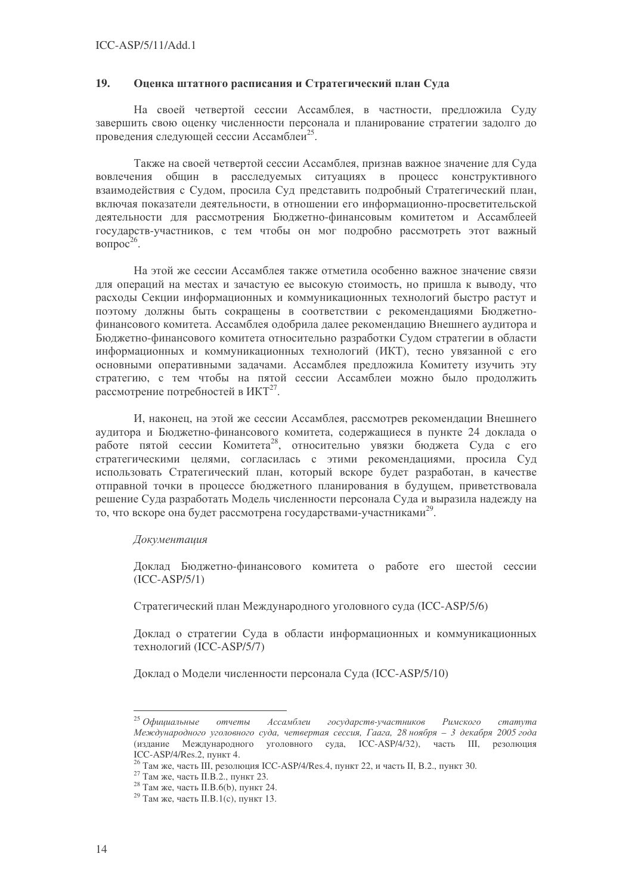#### 19. Оценка штатного расписания и Стратегический план Суда

На своей четвертой сессии Ассамблея, в частности, предложила Суду завершить свою оценку численности персонала и планирование стратегии залолго до проведения следующей сессии Ассамблеи<sup>25</sup>.

Также на своей четвертой сессии Ассамблея, признав важное значение для Суда вовлечения общин в расследуемых ситуациях в процесс конструктивного взаимодействия с Судом, просила Суд представить подробный Стратегический план, включая показатели деятельности, в отношении его информационно-просветительской леятельности для рассмотрения Бюлжетно-финансовым комитетом и Ассамблеей государств-участников, с тем чтобы он мог подробно рассмотреть этот важный вопрос<sup>26</sup>.

На этой же сессии Ассамблея также отметила особенно важное значение связи для операций на местах и зачастую ее высокую стоимость, но пришла к выводу, что расхолы Секции информационных и коммуникационных технологий быстро растут и поэтому должны быть сокращены в соответствии с рекомендациями Бюджетнофинансового комитета. Ассамблея одобрила далее рекомендацию Внешнего аудитора и Бюджетно-финансового комитета относительно разработки Судом стратегии в области информационных и коммуникационных технологий (ИКТ), тесно увязанной с его основными оперативными задачами. Ассамблея предложила Комитету изучить эту стратегию, с тем чтобы на пятой сессии Ассамблеи можно было продолжить рассмотрение потребностей в ИКТ<sup>27</sup>.

И, наконец, на этой же сессии Ассамблея, рассмотрев рекомендации Внешнего аулитора и Бюлжетно-финансового комитета, солержащиеся в пункте 24 локлада о работе пятой сессии Комитета<sup>28</sup>, относительно увязки бюджета Суда с его стратегическими целями, согласилась с этими рекомендациями, просила Суд использовать Стратегический план, который вскоре будет разработан, в качестве отправной точки в процессе бюджетного планирования в будущем, приветствовала решение Суда разработать Модель численности персонала Суда и выразила надежду на то, что вскоре она будет рассмотрена государствами-участниками<sup>29</sup>.

### **Локументаиия**

Доклад Бюджетно-финансового комитета о работе его шестой сессии  $(ICC-ASP/5/1)$ 

Стратегический план Международного уголовного суда (ICC-ASP/5/6)

Доклад о стратегии Суда в области информационных и коммуникационных технологий (ICC-ASP/5/7)

Доклад о Модели численности персонала Суда (ICC-ASP/5/10)

 $25$  Официальные Ассамблеи государств-участников cmamvma отчеты Римского Международного уголовного суда, четвертая сессия, Гаага, 28 ноября - 3 декабря 2005 года (издание Международного уголовного суда, ICC-ASP/4/32), часть III, резолюция ICC-ASP/4/Res. 2.  $\overline{IVH}$  TV

 $6$  Там же, часть III, резолюция ICC-ASP/4/Res.4, пункт 22, и часть II, В.2., пункт 30.

 $^{27}$  Tam же, часть II.B.2., пункт 23.

<sup>&</sup>lt;sup>28</sup> Там же, часть II.В.6(b), пункт 24.

<sup>&</sup>lt;sup>29</sup> Там же, часть II.B.1(с), пункт 13.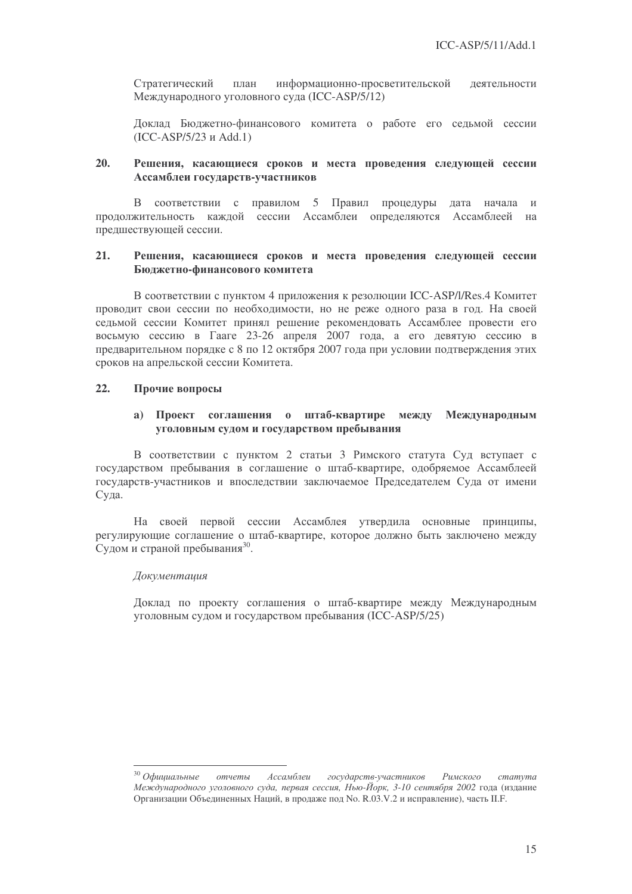Стратегический информационно-просветительской план деятельности Международного уголовного суда (ICC-ASP/5/12)

Доклад Бюджетно-финансового комитета о работе его седьмой сессии  $(ICC-ASP/5/23 \text{ и Add.1})$ 

#### 20. Решения, касающиеся сроков и места проведения следующей сессии Ассамблеи государств-участников

В соответствии с правилом 5 Правил процедуры дата начала  $\overline{M}$ продолжительность каждой сессии Ассамблеи определяются Ассамблеей на предшествующей сессии.

#### $21.$ Решения, касающиеся сроков и места проведения следующей сессии Бюджетно-финансового комитета

В соответствии с пунктом 4 приложения к резолюции ICC-ASP/l/Res.4 Комитет проводит свои сессии по необходимости, но не реже одного раза в год. На своей седьмой сессии Комитет принял решение рекомендовать Ассамблее провести его восьмую сессию в Гааге 23-26 апреля 2007 года, а его девятую сессию в предварительном порядке с 8 по 12 октября 2007 года при условии подтверждения этих сроков на апрельской сессии Комитета.

#### $22.$ Прочие вопросы

### а) Проект соглашения о штаб-квартире между Международным уголовным судом и государством пребывания

В соответствии с пунктом 2 статьи 3 Римского статута Суд вступает с государством пребывания в соглашение о штаб-квартире, одобряемое Ассамблеей государств-участников и впоследствии заключаемое Председателем Суда от имени Суда.

На своей первой сессии Ассамблея утвердила основные принципы, регулирующие соглашение о штаб-квартире, которое должно быть заключено между Судом и страной пребывания<sup>30</sup>.

### Документация

Локлад по проекту соглашения о штаб-квартире между Международным уголовным судом и государством пребывания (ICC-ASP/5/25)

 $30$  Официальные отчеты Ассамблеи государств-участников Римского cmamyma Международного уголовного суда, первая сессия. Нью-Йорк, 3-10 сентября 2002 года (издание Организации Объединенных Наций, в продаже под No. R.03.V.2 и исправление), часть II.F.